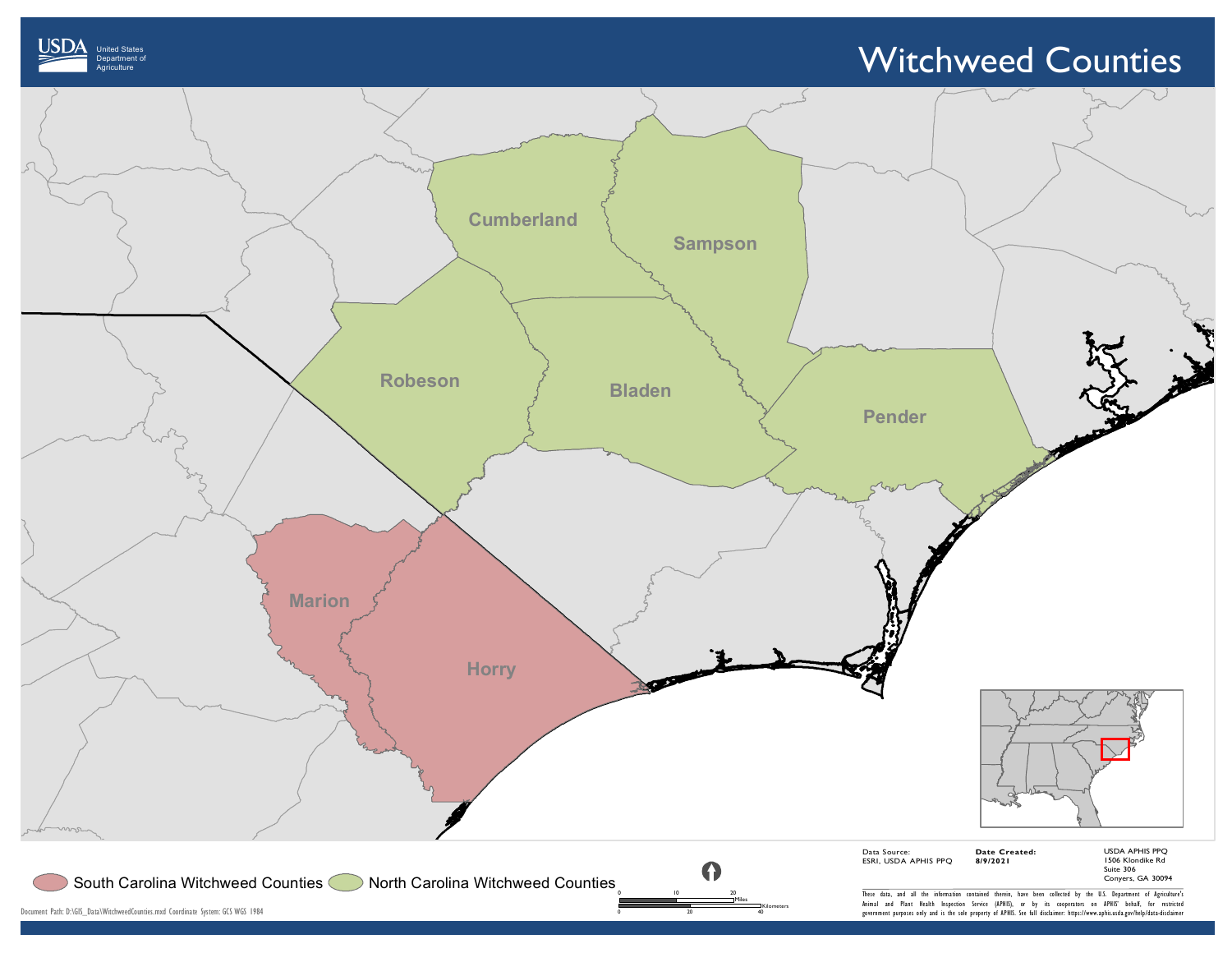



United States Department of

JSDA